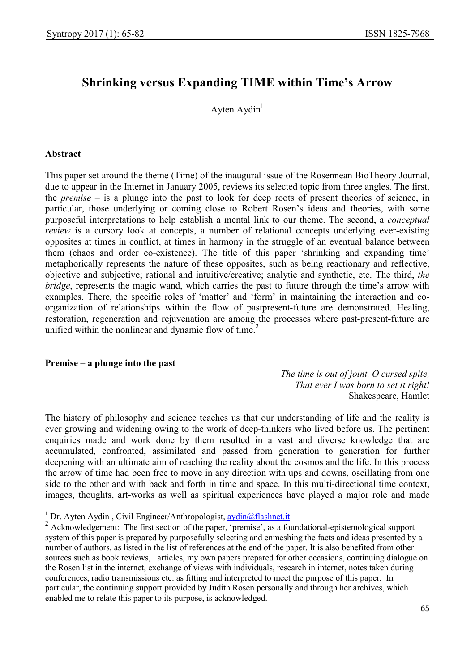# Shrinking versus Expanding TIME within Time's Arrow

Ayten  $A$ ydin<sup>1</sup>

#### Abstract

-

This paper set around the theme (Time) of the inaugural issue of the Rosennean BioTheory Journal, due to appear in the Internet in January 2005, reviews its selected topic from three angles. The first, the *premise* – is a plunge into the past to look for deep roots of present theories of science, in particular, those underlying or coming close to Robert Rosen's ideas and theories, with some purposeful interpretations to help establish a mental link to our theme. The second, a conceptual review is a cursory look at concepts, a number of relational concepts underlying ever-existing opposites at times in conflict, at times in harmony in the struggle of an eventual balance between them (chaos and order co-existence). The title of this paper 'shrinking and expanding time' metaphorically represents the nature of these opposites, such as being reactionary and reflective, objective and subjective; rational and intuitive/creative; analytic and synthetic, etc. The third, the bridge, represents the magic wand, which carries the past to future through the time's arrow with examples. There, the specific roles of 'matter' and 'form' in maintaining the interaction and coorganization of relationships within the flow of pastpresent-future are demonstrated. Healing, restoration, regeneration and rejuvenation are among the processes where past-present-future are unified within the nonlinear and dynamic flow of time. $2^2$ 

#### Premise – a plunge into the past

The time is out of joint. O cursed spite, That ever I was born to set it right! Shakespeare, Hamlet

The history of philosophy and science teaches us that our understanding of life and the reality is ever growing and widening owing to the work of deep-thinkers who lived before us. The pertinent enquiries made and work done by them resulted in a vast and diverse knowledge that are accumulated, confronted, assimilated and passed from generation to generation for further deepening with an ultimate aim of reaching the reality about the cosmos and the life. In this process the arrow of time had been free to move in any direction with ups and downs, oscillating from one side to the other and with back and forth in time and space. In this multi-directional time context, images, thoughts, art-works as well as spiritual experiences have played a major role and made

<sup>&</sup>lt;sup>1</sup> Dr. Ayten Aydin, Civil Engineer/Anthropologist, aydin@flashnet.it

<sup>&</sup>lt;sup>2</sup> Acknowledgement: The first section of the paper, 'premise', as a foundational-epistemological support system of this paper is prepared by purposefully selecting and enmeshing the facts and ideas presented by a number of authors, as listed in the list of references at the end of the paper. It is also benefited from other sources such as book reviews, articles, my own papers prepared for other occasions, continuing dialogue on the Rosen list in the internet, exchange of views with individuals, research in internet, notes taken during conferences, radio transmissions etc. as fitting and interpreted to meet the purpose of this paper. In particular, the continuing support provided by Judith Rosen personally and through her archives, which enabled me to relate this paper to its purpose, is acknowledged.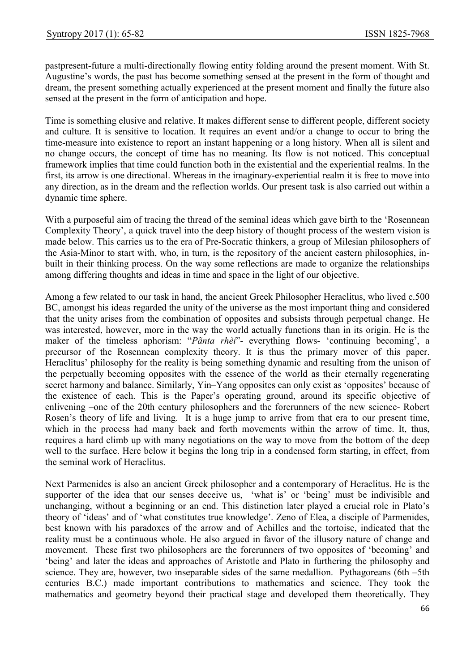pastpresent-future a multi-directionally flowing entity folding around the present moment. With St. Augustine's words, the past has become something sensed at the present in the form of thought and dream, the present something actually experienced at the present moment and finally the future also sensed at the present in the form of anticipation and hope.

Time is something elusive and relative. It makes different sense to different people, different society and culture. It is sensitive to location. It requires an event and/or a change to occur to bring the time-measure into existence to report an instant happening or a long history. When all is silent and no change occurs, the concept of time has no meaning. Its flow is not noticed. This conceptual framework implies that time could function both in the existential and the experiential realms. In the first, its arrow is one directional. Whereas in the imaginary-experiential realm it is free to move into any direction, as in the dream and the reflection worlds. Our present task is also carried out within a dynamic time sphere.

With a purposeful aim of tracing the thread of the seminal ideas which gave birth to the 'Rosennean Complexity Theory', a quick travel into the deep history of thought process of the western vision is made below. This carries us to the era of Pre-Socratic thinkers, a group of Milesian philosophers of the Asia-Minor to start with, who, in turn, is the repository of the ancient eastern philosophies, inbuilt in their thinking process. On the way some reflections are made to organize the relationships among differing thoughts and ideas in time and space in the light of our objective.

Among a few related to our task in hand, the ancient Greek Philosopher Heraclitus, who lived c.500 BC, amongst his ideas regarded the unity of the universe as the most important thing and considered that the unity arises from the combination of opposites and subsists through perpetual change. He was interested, however, more in the way the world actually functions than in its origin. He is the maker of the timeless aphorism: "Pãnta rhèi"- everything flows- 'continuing becoming', a precursor of the Rosennean complexity theory. It is thus the primary mover of this paper. Heraclitus' philosophy for the reality is being something dynamic and resulting from the unison of the perpetually becoming opposites with the essence of the world as their eternally regenerating secret harmony and balance. Similarly, Yin–Yang opposites can only exist as 'opposites' because of the existence of each. This is the Paper's operating ground, around its specific objective of enlivening –one of the 20th century philosophers and the forerunners of the new science- Robert Rosen's theory of life and living. It is a huge jump to arrive from that era to our present time, which in the process had many back and forth movements within the arrow of time. It, thus, requires a hard climb up with many negotiations on the way to move from the bottom of the deep well to the surface. Here below it begins the long trip in a condensed form starting, in effect, from the seminal work of Heraclitus.

Next Parmenides is also an ancient Greek philosopher and a contemporary of Heraclitus. He is the supporter of the idea that our senses deceive us, 'what is' or 'being' must be indivisible and unchanging, without a beginning or an end. This distinction later played a crucial role in Plato's theory of 'ideas' and of 'what constitutes true knowledge'. Zeno of Elea, a disciple of Parmenides, best known with his paradoxes of the arrow and of Achilles and the tortoise, indicated that the reality must be a continuous whole. He also argued in favor of the illusory nature of change and movement. These first two philosophers are the forerunners of two opposites of 'becoming' and 'being' and later the ideas and approaches of Aristotle and Plato in furthering the philosophy and science. They are, however, two inseparable sides of the same medallion. Pythagoreans (6th –5th centuries B.C.) made important contributions to mathematics and science. They took the mathematics and geometry beyond their practical stage and developed them theoretically. They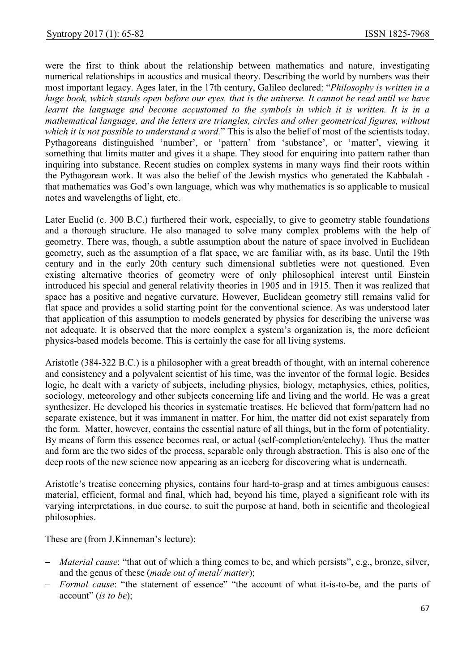were the first to think about the relationship between mathematics and nature, investigating numerical relationships in acoustics and musical theory. Describing the world by numbers was their most important legacy. Ages later, in the 17th century, Galileo declared: "Philosophy is written in a huge book, which stands open before our eyes, that is the universe. It cannot be read until we have learnt the language and become accustomed to the symbols in which it is written. It is in a mathematical language, and the letters are triangles, circles and other geometrical figures, without which it is not possible to understand a word." This is also the belief of most of the scientists today. Pythagoreans distinguished 'number', or 'pattern' from 'substance', or 'matter', viewing it something that limits matter and gives it a shape. They stood for enquiring into pattern rather than inquiring into substance. Recent studies on complex systems in many ways find their roots within the Pythagorean work. It was also the belief of the Jewish mystics who generated the Kabbalah that mathematics was God's own language, which was why mathematics is so applicable to musical notes and wavelengths of light, etc.

Later Euclid (c. 300 B.C.) furthered their work, especially, to give to geometry stable foundations and a thorough structure. He also managed to solve many complex problems with the help of geometry. There was, though, a subtle assumption about the nature of space involved in Euclidean geometry, such as the assumption of a flat space, we are familiar with, as its base. Until the 19th century and in the early 20th century such dimensional subtleties were not questioned. Even existing alternative theories of geometry were of only philosophical interest until Einstein introduced his special and general relativity theories in 1905 and in 1915. Then it was realized that space has a positive and negative curvature. However, Euclidean geometry still remains valid for flat space and provides a solid starting point for the conventional science. As was understood later that application of this assumption to models generated by physics for describing the universe was not adequate. It is observed that the more complex a system's organization is, the more deficient physics-based models become. This is certainly the case for all living systems.

Aristotle (384-322 B.C.) is a philosopher with a great breadth of thought, with an internal coherence and consistency and a polyvalent scientist of his time, was the inventor of the formal logic. Besides logic, he dealt with a variety of subjects, including physics, biology, metaphysics, ethics, politics, sociology, meteorology and other subjects concerning life and living and the world. He was a great synthesizer. He developed his theories in systematic treatises. He believed that form/pattern had no separate existence, but it was immanent in matter. For him, the matter did not exist separately from the form. Matter, however, contains the essential nature of all things, but in the form of potentiality. By means of form this essence becomes real, or actual (self-completion/entelechy). Thus the matter and form are the two sides of the process, separable only through abstraction. This is also one of the deep roots of the new science now appearing as an iceberg for discovering what is underneath.

Aristotle's treatise concerning physics, contains four hard-to-grasp and at times ambiguous causes: material, efficient, formal and final, which had, beyond his time, played a significant role with its varying interpretations, in due course, to suit the purpose at hand, both in scientific and theological philosophies.

These are (from J.Kinneman's lecture):

- *Material cause*: "that out of which a thing comes to be, and which persists", e.g., bronze, silver, and the genus of these (made out of metal/ matter);
- Formal cause: "the statement of essence" "the account of what it-is-to-be, and the parts of account" (is to be);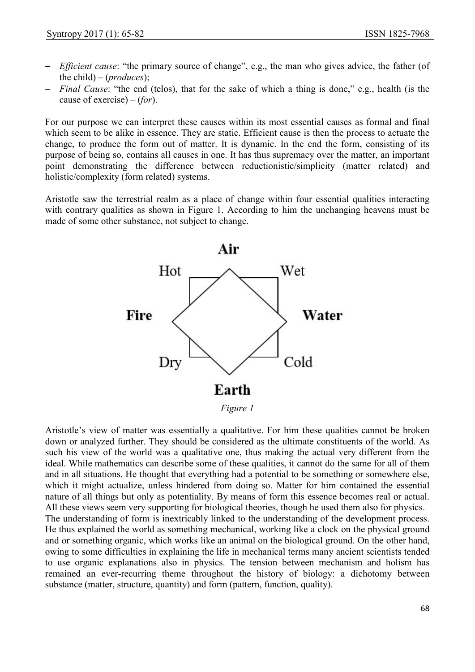- *Efficient cause*: "the primary source of change", e.g., the man who gives advice, the father (of the child) – (*produces*);
- Final Cause: "the end (telos), that for the sake of which a thing is done," e.g., health (is the cause of exercise) –  $(for)$ .

For our purpose we can interpret these causes within its most essential causes as formal and final which seem to be alike in essence. They are static. Efficient cause is then the process to actuate the change, to produce the form out of matter. It is dynamic. In the end the form, consisting of its purpose of being so, contains all causes in one. It has thus supremacy over the matter, an important point demonstrating the difference between reductionistic/simplicity (matter related) and holistic/complexity (form related) systems.

Aristotle saw the terrestrial realm as a place of change within four essential qualities interacting with contrary qualities as shown in Figure 1. According to him the unchanging heavens must be made of some other substance, not subject to change.



Aristotle's view of matter was essentially a qualitative. For him these qualities cannot be broken down or analyzed further. They should be considered as the ultimate constituents of the world. As such his view of the world was a qualitative one, thus making the actual very different from the ideal. While mathematics can describe some of these qualities, it cannot do the same for all of them and in all situations. He thought that everything had a potential to be something or somewhere else, which it might actualize, unless hindered from doing so. Matter for him contained the essential nature of all things but only as potentiality. By means of form this essence becomes real or actual. All these views seem very supporting for biological theories, though he used them also for physics. The understanding of form is inextricably linked to the understanding of the development process. He thus explained the world as something mechanical, working like a clock on the physical ground and or something organic, which works like an animal on the biological ground. On the other hand, owing to some difficulties in explaining the life in mechanical terms many ancient scientists tended to use organic explanations also in physics. The tension between mechanism and holism has remained an ever-recurring theme throughout the history of biology: a dichotomy between substance (matter, structure, quantity) and form (pattern, function, quality).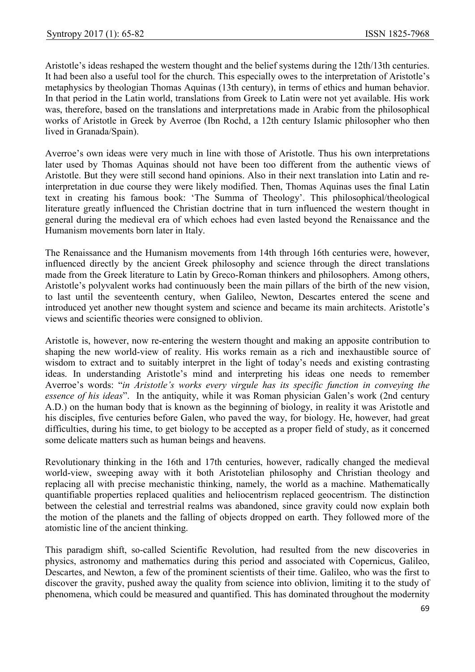Aristotle's ideas reshaped the western thought and the belief systems during the 12th/13th centuries. It had been also a useful tool for the church. This especially owes to the interpretation of Aristotle's metaphysics by theologian Thomas Aquinas (13th century), in terms of ethics and human behavior. In that period in the Latin world, translations from Greek to Latin were not yet available. His work was, therefore, based on the translations and interpretations made in Arabic from the philosophical works of Aristotle in Greek by Averroe (Ibn Rochd, a 12th century Islamic philosopher who then lived in Granada/Spain).

Averroe's own ideas were very much in line with those of Aristotle. Thus his own interpretations later used by Thomas Aquinas should not have been too different from the authentic views of Aristotle. But they were still second hand opinions. Also in their next translation into Latin and reinterpretation in due course they were likely modified. Then, Thomas Aquinas uses the final Latin text in creating his famous book: 'The Summa of Theology'. This philosophical/theological literature greatly influenced the Christian doctrine that in turn influenced the western thought in general during the medieval era of which echoes had even lasted beyond the Renaissance and the Humanism movements born later in Italy.

The Renaissance and the Humanism movements from 14th through 16th centuries were, however, influenced directly by the ancient Greek philosophy and science through the direct translations made from the Greek literature to Latin by Greco-Roman thinkers and philosophers. Among others, Aristotle's polyvalent works had continuously been the main pillars of the birth of the new vision, to last until the seventeenth century, when Galileo, Newton, Descartes entered the scene and introduced yet another new thought system and science and became its main architects. Aristotle's views and scientific theories were consigned to oblivion.

Aristotle is, however, now re-entering the western thought and making an apposite contribution to shaping the new world-view of reality. His works remain as a rich and inexhaustible source of wisdom to extract and to suitably interpret in the light of today's needs and existing contrasting ideas. In understanding Aristotle's mind and interpreting his ideas one needs to remember Averroe's words: "in Aristotle's works every virgule has its specific function in conveying the essence of his ideas". In the antiquity, while it was Roman physician Galen's work (2nd century A.D.) on the human body that is known as the beginning of biology, in reality it was Aristotle and his disciples, five centuries before Galen, who paved the way, for biology. He, however, had great difficulties, during his time, to get biology to be accepted as a proper field of study, as it concerned some delicate matters such as human beings and heavens.

Revolutionary thinking in the 16th and 17th centuries, however, radically changed the medieval world-view, sweeping away with it both Aristotelian philosophy and Christian theology and replacing all with precise mechanistic thinking, namely, the world as a machine. Mathematically quantifiable properties replaced qualities and heliocentrism replaced geocentrism. The distinction between the celestial and terrestrial realms was abandoned, since gravity could now explain both the motion of the planets and the falling of objects dropped on earth. They followed more of the atomistic line of the ancient thinking.

This paradigm shift, so-called Scientific Revolution, had resulted from the new discoveries in physics, astronomy and mathematics during this period and associated with Copernicus, Galileo, Descartes, and Newton, a few of the prominent scientists of their time. Galileo, who was the first to discover the gravity, pushed away the quality from science into oblivion, limiting it to the study of phenomena, which could be measured and quantified. This has dominated throughout the modernity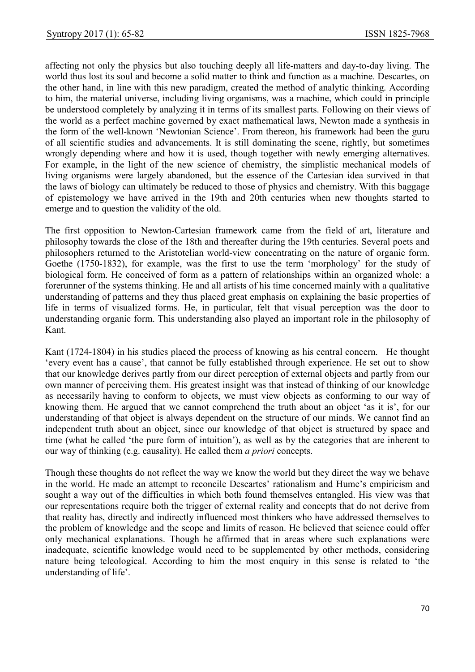affecting not only the physics but also touching deeply all life-matters and day-to-day living. The world thus lost its soul and become a solid matter to think and function as a machine. Descartes, on the other hand, in line with this new paradigm, created the method of analytic thinking. According to him, the material universe, including living organisms, was a machine, which could in principle be understood completely by analyzing it in terms of its smallest parts. Following on their views of the world as a perfect machine governed by exact mathematical laws, Newton made a synthesis in the form of the well-known 'Newtonian Science'. From thereon, his framework had been the guru of all scientific studies and advancements. It is still dominating the scene, rightly, but sometimes wrongly depending where and how it is used, though together with newly emerging alternatives. For example, in the light of the new science of chemistry, the simplistic mechanical models of living organisms were largely abandoned, but the essence of the Cartesian idea survived in that the laws of biology can ultimately be reduced to those of physics and chemistry. With this baggage of epistemology we have arrived in the 19th and 20th centuries when new thoughts started to emerge and to question the validity of the old.

The first opposition to Newton-Cartesian framework came from the field of art, literature and philosophy towards the close of the 18th and thereafter during the 19th centuries. Several poets and philosophers returned to the Aristotelian world-view concentrating on the nature of organic form. Goethe (1750-1832), for example, was the first to use the term 'morphology' for the study of biological form. He conceived of form as a pattern of relationships within an organized whole: a forerunner of the systems thinking. He and all artists of his time concerned mainly with a qualitative understanding of patterns and they thus placed great emphasis on explaining the basic properties of life in terms of visualized forms. He, in particular, felt that visual perception was the door to understanding organic form. This understanding also played an important role in the philosophy of Kant.

Kant (1724-1804) in his studies placed the process of knowing as his central concern. He thought 'every event has a cause', that cannot be fully established through experience. He set out to show that our knowledge derives partly from our direct perception of external objects and partly from our own manner of perceiving them. His greatest insight was that instead of thinking of our knowledge as necessarily having to conform to objects, we must view objects as conforming to our way of knowing them. He argued that we cannot comprehend the truth about an object 'as it is', for our understanding of that object is always dependent on the structure of our minds. We cannot find an independent truth about an object, since our knowledge of that object is structured by space and time (what he called 'the pure form of intuition'), as well as by the categories that are inherent to our way of thinking (e.g. causality). He called them a priori concepts.

Though these thoughts do not reflect the way we know the world but they direct the way we behave in the world. He made an attempt to reconcile Descartes' rationalism and Hume's empiricism and sought a way out of the difficulties in which both found themselves entangled. His view was that our representations require both the trigger of external reality and concepts that do not derive from that reality has, directly and indirectly influenced most thinkers who have addressed themselves to the problem of knowledge and the scope and limits of reason. He believed that science could offer only mechanical explanations. Though he affirmed that in areas where such explanations were inadequate, scientific knowledge would need to be supplemented by other methods, considering nature being teleological. According to him the most enquiry in this sense is related to 'the understanding of life'.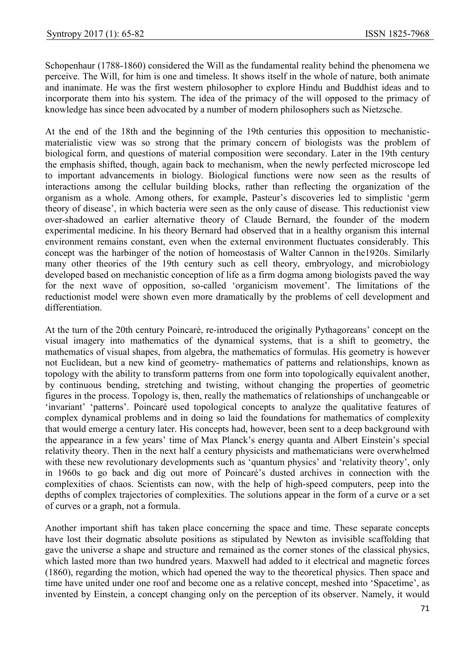Schopenhaur (1788-1860) considered the Will as the fundamental reality behind the phenomena we perceive. The Will, for him is one and timeless. It shows itself in the whole of nature, both animate and inanimate. He was the first western philosopher to explore Hindu and Buddhist ideas and to incorporate them into his system. The idea of the primacy of the will opposed to the primacy of knowledge has since been advocated by a number of modern philosophers such as Nietzsche.

At the end of the 18th and the beginning of the 19th centuries this opposition to mechanisticmaterialistic view was so strong that the primary concern of biologists was the problem of biological form, and questions of material composition were secondary. Later in the 19th century the emphasis shifted, though, again back to mechanism, when the newly perfected microscope led to important advancements in biology. Biological functions were now seen as the results of interactions among the cellular building blocks, rather than reflecting the organization of the organism as a whole. Among others, for example, Pasteur's discoveries led to simplistic 'germ theory of disease', in which bacteria were seen as the only cause of disease. This reductionist view over-shadowed an earlier alternative theory of Claude Bernard, the founder of the modern experimental medicine. In his theory Bernard had observed that in a healthy organism this internal environment remains constant, even when the external environment fluctuates considerably. This concept was the harbinger of the notion of homeostasis of Walter Cannon in the1920s. Similarly many other theories of the 19th century such as cell theory, embryology, and microbiology developed based on mechanistic conception of life as a firm dogma among biologists paved the way for the next wave of opposition, so-called 'organicism movement'. The limitations of the reductionist model were shown even more dramatically by the problems of cell development and differentiation.

At the turn of the 20th century Poincaré, re-introduced the originally Pythagoreans' concept on the visual imagery into mathematics of the dynamical systems, that is a shift to geometry, the mathematics of visual shapes, from algebra, the mathematics of formulas. His geometry is however not Euclidean, but a new kind of geometry- mathematics of patterns and relationships, known as topology with the ability to transform patterns from one form into topologically equivalent another, by continuous bending, stretching and twisting, without changing the properties of geometric figures in the process. Topology is, then, really the mathematics of relationships of unchangeable or 'invariant' 'patterns'. Poincaré used topological concepts to analyze the qualitative features of complex dynamical problems and in doing so laid the foundations for mathematics of complexity that would emerge a century later. His concepts had, however, been sent to a deep background with the appearance in a few years' time of Max Planck's energy quanta and Albert Einstein's special relativity theory. Then in the next half a century physicists and mathematicians were overwhelmed with these new revolutionary developments such as 'quantum physics' and 'relativity theory', only in 1960s to go back and dig out more of Poincaré's dusted archives in connection with the complexities of chaos. Scientists can now, with the help of high-speed computers, peep into the depths of complex trajectories of complexities. The solutions appear in the form of a curve or a set of curves or a graph, not a formula.

Another important shift has taken place concerning the space and time. These separate concepts have lost their dogmatic absolute positions as stipulated by Newton as invisible scaffolding that gave the universe a shape and structure and remained as the corner stones of the classical physics, which lasted more than two hundred years. Maxwell had added to it electrical and magnetic forces (1860), regarding the motion, which had opened the way to the theoretical physics. Then space and time have united under one roof and become one as a relative concept, meshed into 'Spacetime', as invented by Einstein, a concept changing only on the perception of its observer. Namely, it would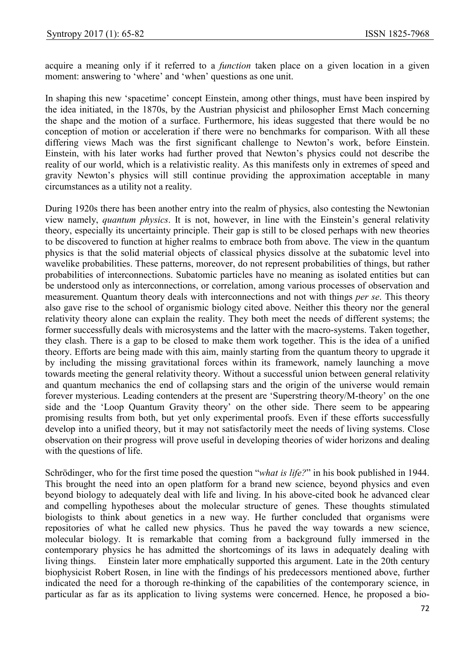acquire a meaning only if it referred to a *function* taken place on a given location in a given moment: answering to 'where' and 'when' questions as one unit.

In shaping this new 'spacetime' concept Einstein, among other things, must have been inspired by the idea initiated, in the 1870s, by the Austrian physicist and philosopher Ernst Mach concerning the shape and the motion of a surface. Furthermore, his ideas suggested that there would be no conception of motion or acceleration if there were no benchmarks for comparison. With all these differing views Mach was the first significant challenge to Newton's work, before Einstein. Einstein, with his later works had further proved that Newton's physics could not describe the reality of our world, which is a relativistic reality. As this manifests only in extremes of speed and gravity Newton's physics will still continue providing the approximation acceptable in many circumstances as a utility not a reality.

During 1920s there has been another entry into the realm of physics, also contesting the Newtonian view namely, quantum physics. It is not, however, in line with the Einstein's general relativity theory, especially its uncertainty principle. Their gap is still to be closed perhaps with new theories to be discovered to function at higher realms to embrace both from above. The view in the quantum physics is that the solid material objects of classical physics dissolve at the subatomic level into wavelike probabilities. These patterns, moreover, do not represent probabilities of things, but rather probabilities of interconnections. Subatomic particles have no meaning as isolated entities but can be understood only as interconnections, or correlation, among various processes of observation and measurement. Quantum theory deals with interconnections and not with things *per se*. This theory also gave rise to the school of organismic biology cited above. Neither this theory nor the general relativity theory alone can explain the reality. They both meet the needs of different systems; the former successfully deals with microsystems and the latter with the macro-systems. Taken together, they clash. There is a gap to be closed to make them work together. This is the idea of a unified theory. Efforts are being made with this aim, mainly starting from the quantum theory to upgrade it by including the missing gravitational forces within its framework, namely launching a move towards meeting the general relativity theory. Without a successful union between general relativity and quantum mechanics the end of collapsing stars and the origin of the universe would remain forever mysterious. Leading contenders at the present are 'Superstring theory/M-theory' on the one side and the 'Loop Quantum Gravity theory' on the other side. There seem to be appearing promising results from both, but yet only experimental proofs. Even if these efforts successfully develop into a unified theory, but it may not satisfactorily meet the needs of living systems. Close observation on their progress will prove useful in developing theories of wider horizons and dealing with the questions of life.

Schrödinger, who for the first time posed the question "*what is life?*" in his book published in 1944. This brought the need into an open platform for a brand new science, beyond physics and even beyond biology to adequately deal with life and living. In his above-cited book he advanced clear and compelling hypotheses about the molecular structure of genes. These thoughts stimulated biologists to think about genetics in a new way. He further concluded that organisms were repositories of what he called new physics. Thus he paved the way towards a new science, molecular biology. It is remarkable that coming from a background fully immersed in the contemporary physics he has admitted the shortcomings of its laws in adequately dealing with living things. Einstein later more emphatically supported this argument. Late in the 20th century biophysicist Robert Rosen, in line with the findings of his predecessors mentioned above, further indicated the need for a thorough re-thinking of the capabilities of the contemporary science, in particular as far as its application to living systems were concerned. Hence, he proposed a bio-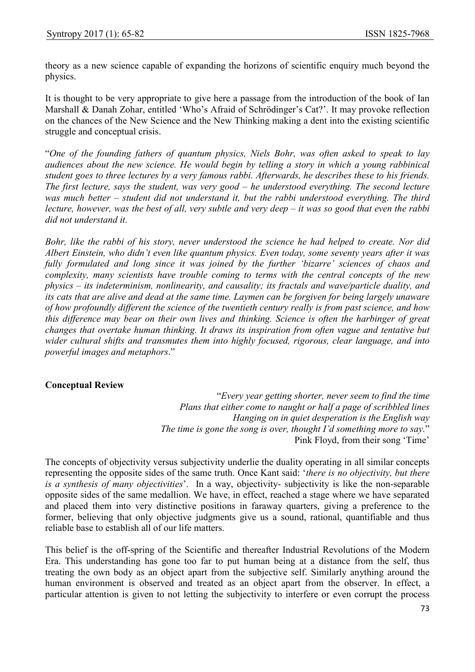theory as a new science capable of expanding the horizons of scientific enquiry much beyond the physics.

It is thought to be very appropriate to give here a passage from the introduction of the book of Ian Marshall & Danah Zohar, entitled 'Who's Afraid of Schrödinger's Cat?'. It may provoke reflection on the chances of the New Science and the New Thinking making a dent into the existing scientific struggle and conceptual crisis.

"One of the founding fathers of quantum physics, Niels Bohr, was often asked to speak to lay audiences about the new science. He would begin by telling a story in which a young rabbinical student goes to three lectures by a very famous rabbi. Afterwards, he describes these to his friends. The first lecture, says the student, was very good – he understood everything. The second lecture was much better – student did not understand it, but the rabbi understood everything. The third lecture, however, was the best of all, very subtle and very deep  $-i$  twas so good that even the rabbi did not understand it.

Bohr, like the rabbi of his story, never understood the science he had helped to create. Nor did Albert Einstein, who didn't even like quantum physics. Even today, some seventy years after it was fully formulated and long since it was joined by the further 'bizarre' sciences of chaos and complexity, many scientists have trouble coming to terms with the central concepts of the new physics – its indeterminism, nonlinearity, and causality; its fractals and wave/particle duality, and its cats that are alive and dead at the same time. Laymen can be forgiven for being largely unaware of how profoundly different the science of the twentieth century really is from past science, and how this difference may bear on their own lives and thinking. Science is often the harbinger of great changes that overtake human thinking. It draws its inspiration from often vague and tentative but wider cultural shifts and transmutes them into highly focused, rigorous, clear language, and into powerful images and metaphors."

## Conceptual Review

"Every year getting shorter, never seem to find the time Plans that either come to naught or half a page of scribbled lines Hanging on in quiet desperation is the English way The time is gone the song is over, thought I'd something more to say." Pink Floyd, from their song 'Time'

The concepts of objectivity versus subjectivity underlie the duality operating in all similar concepts representing the opposite sides of the same truth. Once Kant said: 'there is no objectivity, but there is a synthesis of many objectivities'. In a way, objectivity- subjectivity is like the non-separable opposite sides of the same medallion. We have, in effect, reached a stage where we have separated and placed them into very distinctive positions in faraway quarters, giving a preference to the former, believing that only objective judgments give us a sound, rational, quantifiable and thus reliable base to establish all of our life matters.

This belief is the off-spring of the Scientific and thereafter Industrial Revolutions of the Modern Era. This understanding has gone too far to put human being at a distance from the self, thus treating the own body as an object apart from the subjective self. Similarly anything around the human environment is observed and treated as an object apart from the observer. In effect, a particular attention is given to not letting the subjectivity to interfere or even corrupt the process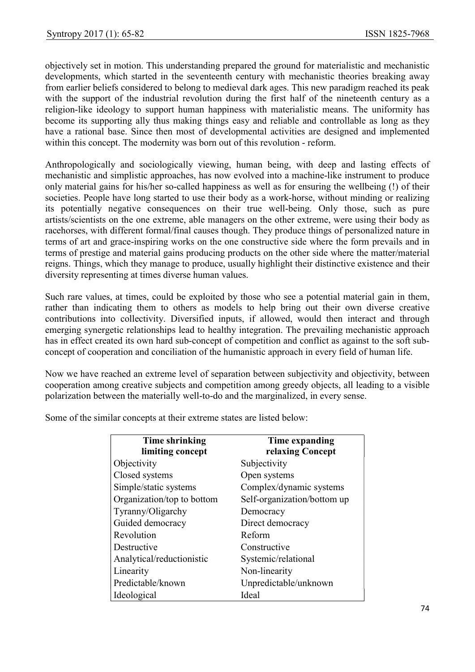objectively set in motion. This understanding prepared the ground for materialistic and mechanistic developments, which started in the seventeenth century with mechanistic theories breaking away from earlier beliefs considered to belong to medieval dark ages. This new paradigm reached its peak with the support of the industrial revolution during the first half of the nineteenth century as a religion-like ideology to support human happiness with materialistic means. The uniformity has become its supporting ally thus making things easy and reliable and controllable as long as they have a rational base. Since then most of developmental activities are designed and implemented within this concept. The modernity was born out of this revolution - reform.

Anthropologically and sociologically viewing, human being, with deep and lasting effects of mechanistic and simplistic approaches, has now evolved into a machine-like instrument to produce only material gains for his/her so-called happiness as well as for ensuring the wellbeing (!) of their societies. People have long started to use their body as a work-horse, without minding or realizing its potentially negative consequences on their true well-being. Only those, such as pure artists/scientists on the one extreme, able managers on the other extreme, were using their body as racehorses, with different formal/final causes though. They produce things of personalized nature in terms of art and grace-inspiring works on the one constructive side where the form prevails and in terms of prestige and material gains producing products on the other side where the matter/material reigns. Things, which they manage to produce, usually highlight their distinctive existence and their diversity representing at times diverse human values.

Such rare values, at times, could be exploited by those who see a potential material gain in them, rather than indicating them to others as models to help bring out their own diverse creative contributions into collectivity. Diversified inputs, if allowed, would then interact and through emerging synergetic relationships lead to healthy integration. The prevailing mechanistic approach has in effect created its own hard sub-concept of competition and conflict as against to the soft subconcept of cooperation and conciliation of the humanistic approach in every field of human life.

Now we have reached an extreme level of separation between subjectivity and objectivity, between cooperation among creative subjects and competition among greedy objects, all leading to a visible polarization between the materially well-to-do and the marginalized, in every sense.

Some of the similar concepts at their extreme states are listed below:

| <b>Time shrinking</b><br>limiting concept | Time expanding<br>relaxing Concept |
|-------------------------------------------|------------------------------------|
| Objectivity                               | Subjectivity                       |
| Closed systems                            | Open systems                       |
| Simple/static systems                     | Complex/dynamic systems            |
| Organization/top to bottom                | Self-organization/bottom up        |
| Tyranny/Oligarchy                         | Democracy                          |
| Guided democracy                          | Direct democracy                   |
| Revolution                                | Reform                             |
| Destructive                               | Constructive                       |
| Analytical/reductionistic                 | Systemic/relational                |
| Linearity                                 | Non-linearity                      |
| Predictable/known                         | Unpredictable/unknown              |
| Ideological                               | Ideal                              |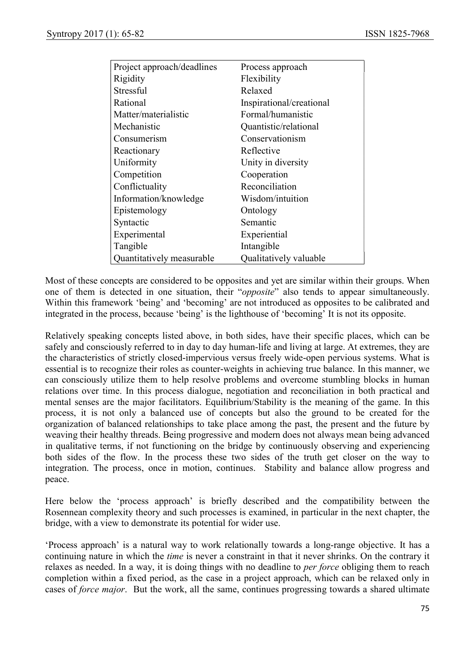| Project approach/deadlines | Process approach         |
|----------------------------|--------------------------|
| Rigidity                   | Flexibility              |
| Stressful                  | Relaxed                  |
| Rational                   | Inspirational/creational |
| Matter/materialistic       | Formal/humanistic        |
| Mechanistic                | Quantistic/relational    |
| Consumerism                | Conservationism          |
| Reactionary                | Reflective               |
| Uniformity                 | Unity in diversity       |
| Competition                | Cooperation              |
| Conflictuality             | Reconciliation           |
| Information/knowledge      | Wisdom/intuition         |
| Epistemology               | Ontology                 |
| Syntactic                  | Semantic                 |
| Experimental               | Experiential             |
| Tangible                   | Intangible               |
| Quantitatively measurable  | Qualitatively valuable   |

Most of these concepts are considered to be opposites and yet are similar within their groups. When one of them is detected in one situation, their "opposite" also tends to appear simultaneously. Within this framework 'being' and 'becoming' are not introduced as opposites to be calibrated and integrated in the process, because 'being' is the lighthouse of 'becoming' It is not its opposite.

Relatively speaking concepts listed above, in both sides, have their specific places, which can be safely and consciously referred to in day to day human-life and living at large. At extremes, they are the characteristics of strictly closed-impervious versus freely wide-open pervious systems. What is essential is to recognize their roles as counter-weights in achieving true balance. In this manner, we can consciously utilize them to help resolve problems and overcome stumbling blocks in human relations over time. In this process dialogue, negotiation and reconciliation in both practical and mental senses are the major facilitators. Equilibrium/Stability is the meaning of the game. In this process, it is not only a balanced use of concepts but also the ground to be created for the organization of balanced relationships to take place among the past, the present and the future by weaving their healthy threads. Being progressive and modern does not always mean being advanced in qualitative terms, if not functioning on the bridge by continuously observing and experiencing both sides of the flow. In the process these two sides of the truth get closer on the way to integration. The process, once in motion, continues. Stability and balance allow progress and peace.

Here below the 'process approach' is briefly described and the compatibility between the Rosennean complexity theory and such processes is examined, in particular in the next chapter, the bridge, with a view to demonstrate its potential for wider use.

'Process approach' is a natural way to work relationally towards a long-range objective. It has a continuing nature in which the *time* is never a constraint in that it never shrinks. On the contrary it relaxes as needed. In a way, it is doing things with no deadline to *per force* obliging them to reach completion within a fixed period, as the case in a project approach, which can be relaxed only in cases of force major. But the work, all the same, continues progressing towards a shared ultimate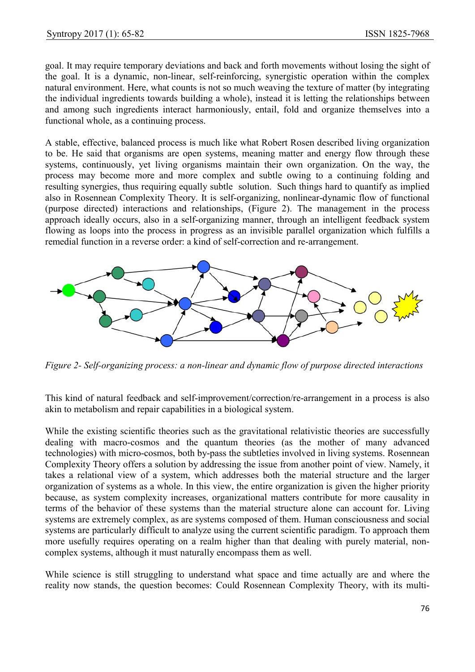goal. It may require temporary deviations and back and forth movements without losing the sight of the goal. It is a dynamic, non-linear, self-reinforcing, synergistic operation within the complex natural environment. Here, what counts is not so much weaving the texture of matter (by integrating the individual ingredients towards building a whole), instead it is letting the relationships between and among such ingredients interact harmoniously, entail, fold and organize themselves into a functional whole, as a continuing process.

A stable, effective, balanced process is much like what Robert Rosen described living organization to be. He said that organisms are open systems, meaning matter and energy flow through these systems, continuously, yet living organisms maintain their own organization. On the way, the process may become more and more complex and subtle owing to a continuing folding and resulting synergies, thus requiring equally subtle solution. Such things hard to quantify as implied also in Rosennean Complexity Theory. It is self-organizing, nonlinear-dynamic flow of functional (purpose directed) interactions and relationships, (Figure 2). The management in the process approach ideally occurs, also in a self-organizing manner, through an intelligent feedback system flowing as loops into the process in progress as an invisible parallel organization which fulfills a remedial function in a reverse order: a kind of self-correction and re-arrangement.



Figure 2- Self-organizing process: a non-linear and dynamic flow of purpose directed interactions

This kind of natural feedback and self-improvement/correction/re-arrangement in a process is also akin to metabolism and repair capabilities in a biological system.

While the existing scientific theories such as the gravitational relativistic theories are successfully dealing with macro-cosmos and the quantum theories (as the mother of many advanced technologies) with micro-cosmos, both by-pass the subtleties involved in living systems. Rosennean Complexity Theory offers a solution by addressing the issue from another point of view. Namely, it takes a relational view of a system, which addresses both the material structure and the larger organization of systems as a whole. In this view, the entire organization is given the higher priority because, as system complexity increases, organizational matters contribute for more causality in terms of the behavior of these systems than the material structure alone can account for. Living systems are extremely complex, as are systems composed of them. Human consciousness and social systems are particularly difficult to analyze using the current scientific paradigm. To approach them more usefully requires operating on a realm higher than that dealing with purely material, noncomplex systems, although it must naturally encompass them as well.

While science is still struggling to understand what space and time actually are and where the reality now stands, the question becomes: Could Rosennean Complexity Theory, with its multi-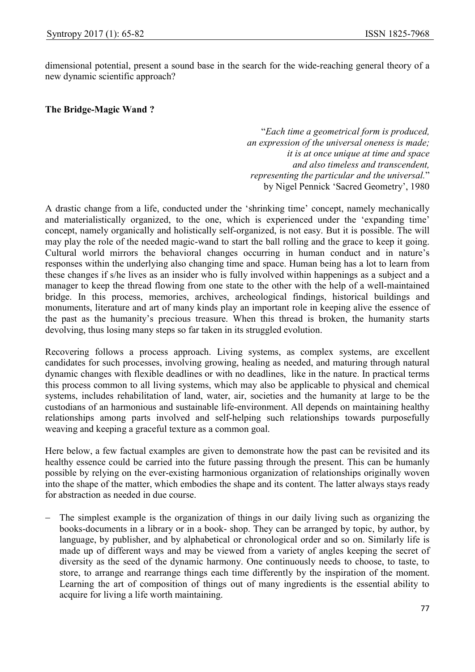dimensional potential, present a sound base in the search for the wide-reaching general theory of a new dynamic scientific approach?

### The Bridge-Magic Wand ?

"Each time a geometrical form is produced, an expression of the universal oneness is made; it is at once unique at time and space and also timeless and transcendent, representing the particular and the universal." by Nigel Pennick 'Sacred Geometry', 1980

A drastic change from a life, conducted under the 'shrinking time' concept, namely mechanically and materialistically organized, to the one, which is experienced under the 'expanding time' concept, namely organically and holistically self-organized, is not easy. But it is possible. The will may play the role of the needed magic-wand to start the ball rolling and the grace to keep it going. Cultural world mirrors the behavioral changes occurring in human conduct and in nature's responses within the underlying also changing time and space. Human being has a lot to learn from these changes if s/he lives as an insider who is fully involved within happenings as a subject and a manager to keep the thread flowing from one state to the other with the help of a well-maintained bridge. In this process, memories, archives, archeological findings, historical buildings and monuments, literature and art of many kinds play an important role in keeping alive the essence of the past as the humanity's precious treasure. When this thread is broken, the humanity starts devolving, thus losing many steps so far taken in its struggled evolution.

Recovering follows a process approach. Living systems, as complex systems, are excellent candidates for such processes, involving growing, healing as needed, and maturing through natural dynamic changes with flexible deadlines or with no deadlines, like in the nature. In practical terms this process common to all living systems, which may also be applicable to physical and chemical systems, includes rehabilitation of land, water, air, societies and the humanity at large to be the custodians of an harmonious and sustainable life-environment. All depends on maintaining healthy relationships among parts involved and self-helping such relationships towards purposefully weaving and keeping a graceful texture as a common goal.

Here below, a few factual examples are given to demonstrate how the past can be revisited and its healthy essence could be carried into the future passing through the present. This can be humanly possible by relying on the ever-existing harmonious organization of relationships originally woven into the shape of the matter, which embodies the shape and its content. The latter always stays ready for abstraction as needed in due course.

 The simplest example is the organization of things in our daily living such as organizing the books-documents in a library or in a book- shop. They can be arranged by topic, by author, by language, by publisher, and by alphabetical or chronological order and so on. Similarly life is made up of different ways and may be viewed from a variety of angles keeping the secret of diversity as the seed of the dynamic harmony. One continuously needs to choose, to taste, to store, to arrange and rearrange things each time differently by the inspiration of the moment. Learning the art of composition of things out of many ingredients is the essential ability to acquire for living a life worth maintaining.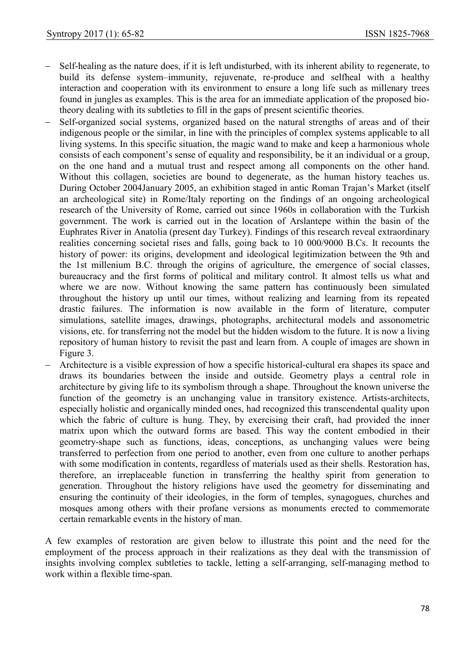- Self-healing as the nature does, if it is left undisturbed, with its inherent ability to regenerate, to build its defense system–immunity, rejuvenate, re-produce and selfheal with a healthy interaction and cooperation with its environment to ensure a long life such as millenary trees found in jungles as examples. This is the area for an immediate application of the proposed biotheory dealing with its subtleties to fill in the gaps of present scientific theories.
- Self-organized social systems, organized based on the natural strengths of areas and of their indigenous people or the similar, in line with the principles of complex systems applicable to all living systems. In this specific situation, the magic wand to make and keep a harmonious whole consists of each component's sense of equality and responsibility, be it an individual or a group, on the one hand and a mutual trust and respect among all components on the other hand. Without this collagen, societies are bound to degenerate, as the human history teaches us. During October 2004January 2005, an exhibition staged in antic Roman Trajan's Market (itself an archeological site) in Rome/Italy reporting on the findings of an ongoing archeological research of the University of Rome, carried out since 1960s in collaboration with the Turkish government. The work is carried out in the location of Arslantepe within the basin of the Euphrates River in Anatolia (present day Turkey). Findings of this research reveal extraordinary realities concerning societal rises and falls, going back to 10 000/9000 B.Cs. It recounts the history of power: its origins, development and ideological legitimization between the 9th and the 1st millenium B.C. through the origins of agriculture, the emergence of social classes, bureaucracy and the first forms of political and military control. It almost tells us what and where we are now. Without knowing the same pattern has continuously been simulated throughout the history up until our times, without realizing and learning from its repeated drastic failures. The information is now available in the form of literature, computer simulations, satellite images, drawings, photographs, architectural models and assonometric visions, etc. for transferring not the model but the hidden wisdom to the future. It is now a living repository of human history to revisit the past and learn from. A couple of images are shown in Figure 3.
- Architecture is a visible expression of how a specific historical-cultural era shapes its space and draws its boundaries between the inside and outside. Geometry plays a central role in architecture by giving life to its symbolism through a shape. Throughout the known universe the function of the geometry is an unchanging value in transitory existence. Artists-architects, especially holistic and organically minded ones, had recognized this transcendental quality upon which the fabric of culture is hung. They, by exercising their craft, had provided the inner matrix upon which the outward forms are based. This way the content embodied in their geometry-shape such as functions, ideas, conceptions, as unchanging values were being transferred to perfection from one period to another, even from one culture to another perhaps with some modification in contents, regardless of materials used as their shells. Restoration has, therefore, an irreplaceable function in transferring the healthy spirit from generation to generation. Throughout the history religions have used the geometry for disseminating and ensuring the continuity of their ideologies, in the form of temples, synagogues, churches and mosques among others with their profane versions as monuments erected to commemorate certain remarkable events in the history of man.

A few examples of restoration are given below to illustrate this point and the need for the employment of the process approach in their realizations as they deal with the transmission of insights involving complex subtleties to tackle, letting a self-arranging, self-managing method to work within a flexible time-span.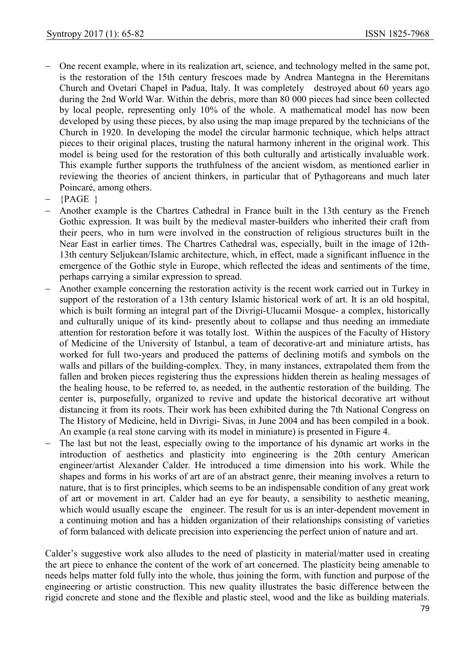- One recent example, where in its realization art, science, and technology melted in the same pot, is the restoration of the 15th century frescoes made by Andrea Mantegna in the Heremitans Church and Ovetari Chapel in Padua, Italy. It was completely destroyed about 60 years ago during the 2nd World War. Within the debris, more than 80 000 pieces had since been collected by local people, representing only 10% of the whole. A mathematical model has now been developed by using these pieces, by also using the map image prepared by the technicians of the Church in 1920. In developing the model the circular harmonic technique, which helps attract pieces to their original places, trusting the natural harmony inherent in the original work. This model is being used for the restoration of this both culturally and artistically invaluable work. This example further supports the truthfulness of the ancient wisdom, as mentioned earlier in reviewing the theories of ancient thinkers, in particular that of Pythagoreans and much later Poincaré, among others.
- {PAGE }
- Another example is the Chartres Cathedral in France built in the 13th century as the French Gothic expression. It was built by the medieval master-builders who inherited their craft from their peers, who in turn were involved in the construction of religious structures built in the Near East in earlier times. The Chartres Cathedral was, especially, built in the image of 12th-13th century Seljukean/Islamic architecture, which, in effect, made a significant influence in the emergence of the Gothic style in Europe, which reflected the ideas and sentiments of the time, perhaps carrying a similar expression to spread.
- Another example concerning the restoration activity is the recent work carried out in Turkey in support of the restoration of a 13th century Islamic historical work of art. It is an old hospital, which is built forming an integral part of the Divrigi-Ulucamii Mosque- a complex, historically and culturally unique of its kind- presently about to collapse and thus needing an immediate attention for restoration before it was totally lost. Within the auspices of the Faculty of History of Medicine of the University of Istanbul, a team of decorative-art and miniature artists, has worked for full two-years and produced the patterns of declining motifs and symbols on the walls and pillars of the building-complex. They, in many instances, extrapolated them from the fallen and broken pieces registering thus the expressions hidden therein as healing messages of the healing house, to be referred to, as needed, in the authentic restoration of the building. The center is, purposefully, organized to revive and update the historical decorative art without distancing it from its roots. Their work has been exhibited during the 7th National Congress on The History of Medicine, held in Divrigi- Sivas, in June 2004 and has been compiled in a book. An example (a real stone carving with its model in miniature) is presented in Figure 4.
- The last but not the least, especially owing to the importance of his dynamic art works in the introduction of aesthetics and plasticity into engineering is the 20th century American engineer/artist Alexander Calder. He introduced a time dimension into his work. While the shapes and forms in his works of art are of an abstract genre, their meaning involves a return to nature, that is to first principles, which seems to be an indispensable condition of any great work of art or movement in art. Calder had an eye for beauty, a sensibility to aesthetic meaning, which would usually escape the engineer. The result for us is an inter-dependent movement in a continuing motion and has a hidden organization of their relationships consisting of varieties of form balanced with delicate precision into experiencing the perfect union of nature and art.

Calder's suggestive work also alludes to the need of plasticity in material/matter used in creating the art piece to enhance the content of the work of art concerned. The plasticity being amenable to needs helps matter fold fully into the whole, thus joining the form, with function and purpose of the engineering or artistic construction. This new quality illustrates the basic difference between the rigid concrete and stone and the flexible and plastic steel, wood and the like as building materials.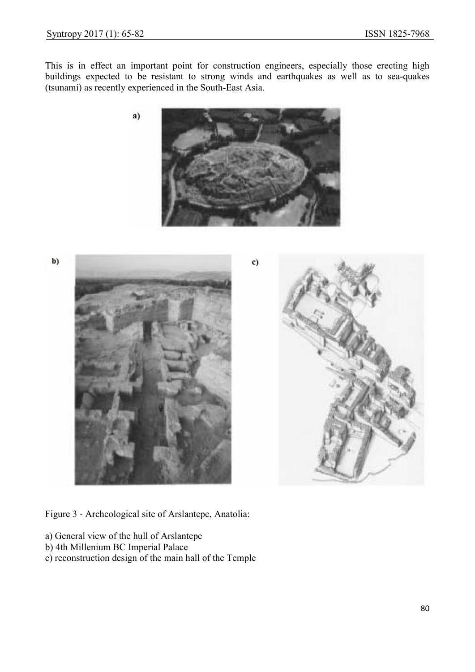This is in effect an important point for construction engineers, especially those erecting high buildings expected to be resistant to strong winds and earthquakes as well as to sea-quakes (tsunami) as recently experienced in the South-East Asia.



 $$ 





Figure 3 - Archeological site of Arslantepe, Anatolia:

- a) General view of the hull of Arslantepe
- b) 4th Millenium BC Imperial Palace
- c) reconstruction design of the main hall of the Temple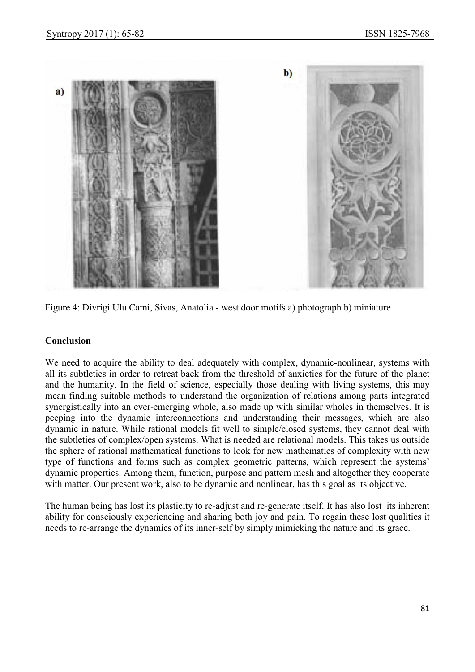

Figure 4: Divrigi Ulu Cami, Sivas, Anatolia - west door motifs a) photograph b) miniature

## Conclusion

We need to acquire the ability to deal adequately with complex, dynamic-nonlinear, systems with all its subtleties in order to retreat back from the threshold of anxieties for the future of the planet and the humanity. In the field of science, especially those dealing with living systems, this may mean finding suitable methods to understand the organization of relations among parts integrated synergistically into an ever-emerging whole, also made up with similar wholes in themselves. It is peeping into the dynamic interconnections and understanding their messages, which are also dynamic in nature. While rational models fit well to simple/closed systems, they cannot deal with the subtleties of complex/open systems. What is needed are relational models. This takes us outside the sphere of rational mathematical functions to look for new mathematics of complexity with new type of functions and forms such as complex geometric patterns, which represent the systems' dynamic properties. Among them, function, purpose and pattern mesh and altogether they cooperate with matter. Our present work, also to be dynamic and nonlinear, has this goal as its objective.

The human being has lost its plasticity to re-adjust and re-generate itself. It has also lost its inherent ability for consciously experiencing and sharing both joy and pain. To regain these lost qualities it needs to re-arrange the dynamics of its inner-self by simply mimicking the nature and its grace.